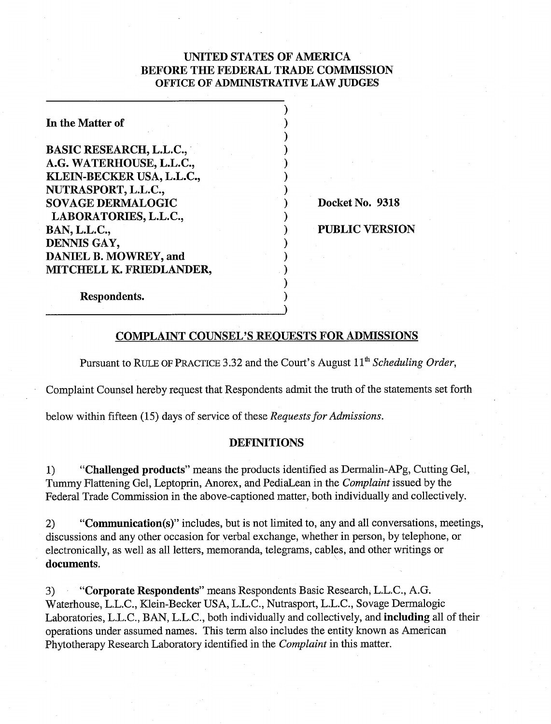# UNITED STATES OF AMERICA BEFORE THE FEDERAL TRADE COMMISSION OFFICE OF **ADMINISTRATIVE** LAW **JUDGES**

) 1  $)$  $)$  $\mathbf{)}$  $)$  $)$ 

 $)$ 

 $)$  $)$  $)$  $)$  $)$ 

| In the Matter of               |
|--------------------------------|
| <b>BASIC RESEARCH, L.L.C.,</b> |
| A.G. WATERHOUSE, L.L.C.,       |
| KLEIN-BECKER USA, L.L.C.,      |
| NUTRASPORT, L.L.C.,            |
| <b>SOVAGE DERMALOGIC</b>       |
| LABORATORIES, L.L.C.,          |
| <b>BAN, L.L.C.,</b>            |
| DENNIS GAY,                    |
| <b>DANIEL B. MOWREY, and</b>   |
| MITCHELL K. FRIEDLANDER,       |
|                                |

Respondents.

Docket No. 9318

PUBLIC VERSION

# COMPLAINT COUNSEL'S REOUESTS FOR ADMISSIONS

Pursuant to RULE OF PRACTICE 3.32 and the Court's August 11<sup>th</sup> Scheduling Order,

Complaint Counsel hereby request that Respondents admit the truth of the statements set forth

below within fifteen (15) days of service of these Requests for Admissions.

## DEFINITIONS

1) "Challenged products" means the products identified as Dermalin-APg, Cutting Gel, Tummy Flattening Gel, Leptoprin, Anorex, and PediaLean in the Complaint issued by the Federal Trade Commission in the above-captioned matter, both individually and collectively.

2) "Communication(s)" includes, but is not limited to, any and all conversations, meetings, discussions and any other occasion for verbal exchange, whether in person, by telephone, or electronically, as well as all letters, memoranda, telegrams, cables, and other writings or documents.

*3)* "Corporate Respondents" means Respondents Basic Research, L.L.C., A.G. Waterhouse, L.L.C., Klein-Becker USA, L.L.C., Nutrasport, L.L.C., Sovage Dermalogic Laboratories, L.L.C., BAN, L.L.C., both individually and collectively, and including all of their operations under assumed names. This term also includes the entity known as American Phytotherapy Research Laboratory identified in the Complaint in this matter.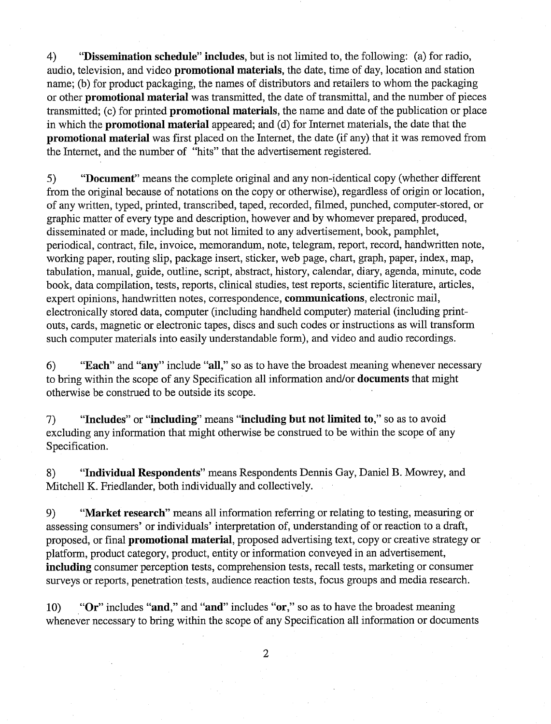4) "Dissemination schedule" includes, but is not limited to, the following: (a) for radio, audio, television, and video promotional materials, the date, time of day, location and station name; (b) for product packaging, the names of distributors and retailers to whom the packaging or other promotional material was transmitted, the date of transmittal, and the number of pieces transmitted; (c) for printed promotional materials, the name and date of the publication or place in which the promotional material appeared; and (d) for Internet materials, the date that the promotional material was first placed on the Internet, the date (if any) that it was removed from the Internet, and the number of "hits" that the advertisement registered.

**5)** "Document" means the complete original and any non-identical copy (whether different from the original because of notations on the copy or otherwise), regardless of origin or location, of any written, typed, printed, transcribed, taped, recorded, filmed, punched, computer-stored, or graphic matter of every type and description, however and by whomever prepared, produced, disseminated or made, including but not limited to any advertisement, book, pamphlet, periodical, contract, file, invoice, memorandum, note, telegram, report, record, handwritten note, working paper, routing slip, package insert, sticker, web page, chart, graph, paper, index, map, tabulation, manual, guide, outline, script, abstract, history, calendar, diary, agenda, minute, code book, data compilation, tests, reports, clinical studies, test reports, scientific literature, articles, expert opinions, handwritten notes, correspondence, communications, electronic mail, electronically stored data, computer (including handheld computer) material (including printouts, cards, magnetic or electronic tapes, discs and such codes or instructions as will transform such computer materials into easily understandable form), and video and audio recordings.

6) "Each" and "any" include "all," so as to have the broadest meaning whenever necessary to bring within the scope of any Specification all information and/or **documents** that might otherwise be construed to be outside its scope.

7) "Includes" or "including" means "including but not limited to," so as to avoid excluding any information that might otherwise be construed to be within the scope of any Specification.

8) "Individual Respondents" means Respondents Dennis Gay, Daniel B. Mowrey, and Mitchell K. Friedlander, both individually and collectively.

9) "Market research" means all information referring or relating to testing, measuring or assessing consumers' or individuals' interpretation of, understanding of or reaction to a draft, proposed, or final promotional material, proposed advertising text, copy or creative strategy or platform, product category, product, entity or information conveyed in an advertisement, including consumer perception tests, comprehension tests, recall tests, marketing or consumer surveys or reports, penetration tests, audience reaction tests, focus groups and media research.

10) "Or" includes "and," and "and" includes "or," so as to have the broadest meaning whenever necessary to bring within the scope of any Specification all information or documents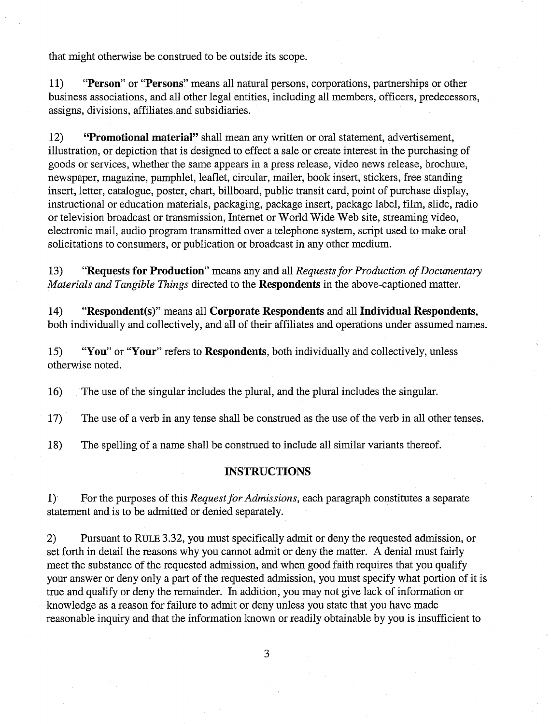that might otherwise be construed to be outside its scope.

11) "Person" or "Persons" means all natural persons, corporations, partnerships or other business associations, and all other legal entities, including all members, officers, predecessors, assigns, divisions, affiliates and subsidiaries.

12) "Promotional material" shall mean any written or oral statement, advertisement, illustration, or depiction that is designed to effect a sale or create interest in the purchasing of goods or services, whether the same appears in a press release, video news release, brochure, newspaper, magazine, pamphlet, leaflet, circular, mailer, book insert, stickers, free standing insert, letter, catalogue, poster, chart, billboard, public transit card, point of purchase display, instructional or education materials, packaging, package insert, package label, film, slide, radio or television broadcast or transmission, Internet or World Wide Web site, streaming video, electronic mail, audio program transmitted over a telephone system, script used to make oral solicitations to consumers, or publication or broadcast in any other medium.

13) "Requests for Production" means any and all *Requests for Production of Documentary Materials and Tangible Things* directed to the Respondents in the above-captioned matter.

14) "Respondent(s)" means all Corporate Respondents and all Individual Respondents, both individually and collectively, and all of their affiliates and operations under assumed names.

15) "You" or "Your" refers to Respondents, both individually and collectively, unless otherwise noted.

16) The use of the singular includes the plural, and the plural includes the singular.

17) The use of a verb in any tense shall be construed as the use of the verb in all other tenses.

18) The spelling of a name shall be construed to include all similar variants thereof.

## INSTRUCTIONS

1) For the purposes of this *Request for Admissions,* each paragraph constitutes a separate statement and is to be admitted or denied separately.

2) Pursuant to RULE 3.32, you must specifically admit or deny the requested admission, or set forth in detail the reasons why you cannot admit or deny the matter. A denial must fairly meet the substance of the requested admission, and when good faith requires that you qualify your answer or deny only a part of the requested admission, you must specify what portion of it is true and qualify or deny the remainder. In addition, you may not give lack of information or knowledge as a reason for failure to admit or deny unless you state that you have made reasonable inquiry and that the information known or readily obtainable by you is insufficient to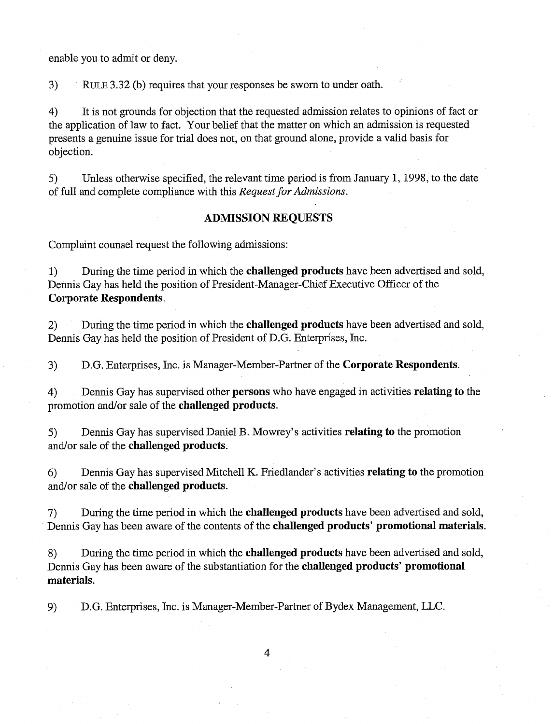enable you to admit or deny.

3) RULE 3.32 (b) requires that your responses be sworn to under oath.

4) It is not grounds for objection that the requested admission relates to opinions of fact or the application of law to fact. Your belief that the matter on which an admission is requested presents a genuine issue for trial does not, on that ground alone, provide a valid basis for objection.

5) Unless otherwise specified, the relevant time period is from January 1, 1998, to the date of full and complete compliance with this *Request* **for** *Admissions.* 

## **ADMISSION REQUESTS**

Complaint counsel request the following admissions:

1) During the time period in which the **challenged products** have been advertised and sold, Dennis Gay has held the position of President-Manager-Chief Executive Officer of the **Corporate Respondents.** 

2) During the time period in which the **challenged products** have been advertised and sold, Dennis Gay has held the position of President of D.G. Enterprises, Inc.

3) D.G. Enterprises, Inc. is Manager-Member-Partner of the **Corporate Respondents.** 

4) Dennis Gay has supervised other **persons** who have engaged in activities **relating to** the promotion and/or sale of the **challenged products.** 

5) Dennis Gay has supervised Daniel B. Mowrey's activities **relating to** the promotion and/or sale of the **challenged products.** 

*6)* Dennis Gay has supervised Mitchell K. Friedlander's activities **relating to** the promotion and/or sale of the **challenged products.** 

7) During the time period in which the **challenged products** have been advertised and sold, Dennis Gay has been aware of the contents of the **challenged products' promotional materials.** 

8) During the time period in which the **challenged products** have been advertised and sold, Dennis Gay has been aware of the substantiation for the **challenged products' promotional materials.** 

9) D.G. Enterprises, Inc. is Manager-Member-Partner of Bydex Management, LLC.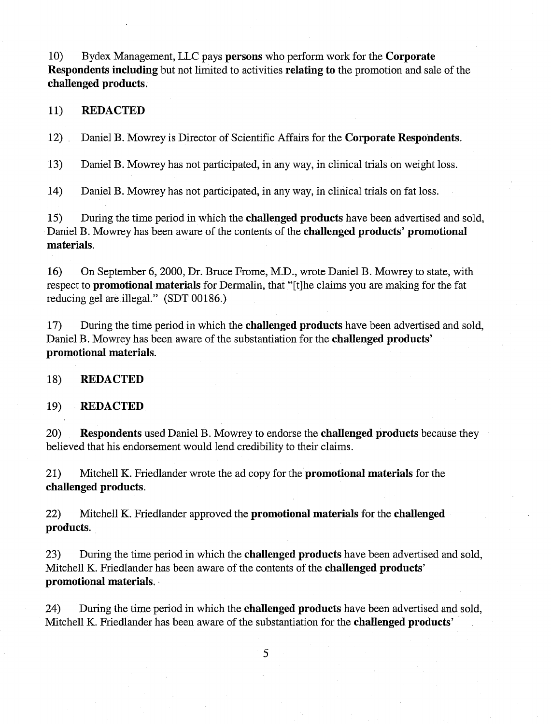10) Bydex Management, LLC pays **persons** who perform work for the **Corporate Respondents including** but not limited to activities **relating to** the promotion and sale of the **challenged products.** 

## 11) **REDACTED**

12) Daniel B. Mowrey is Director of Scientific Affairs for the **Corporate Respondents.** 

13) Daniel B. Mowrey has not participated, in any way, in clinical trials on weight loss.

14) Daniel B. Mowrey has not participated, in any way, in clinical trials on fat loss.

15) During the time period in which the **challenged products** have been advertised and sold, Daniel B. Mowrey has been aware of the contents of the **challenged products' promotional materials.** 

16) On September 6,2000, Dr. Bruce Frome, M.D., wrote Daniel B. Mowrey to state, with respect to **promotional materials** for Dermalin, that "[tlhe claims you are making for the fat reducing gel are illegal." (SDT 00186.)

17) During the time period in which the **challenged products** have been advertised and sold, Daniel B. Mowrey has been aware of the substantiation for the **challenged products' promotional materials.** 

## 18) **REDACTED**

## 19) **REDACTED**

20) **Respondents** used Daniel B. Mowrey to endorse the **challenged products** because they believed that his endorsement would lend credibility to their claims.

21) Mitchell K. Friedlander wrote the ad copy for the **promotional materials** for the **challenged products.** 

22) Mitchell K. Friedlander approved the **promotional materials** for the **challenged products.** 

23) During the time period in which the **challenged products** have been advertised and sold, Mitchell K. Friedlander has been aware of the contents of the **challenged products' promotional materials.** 

24) During the time period in which the **challenged products** have been advertised and sold, Mitchell K. Friedlander has been aware of the substantiation for the **challenged productsy**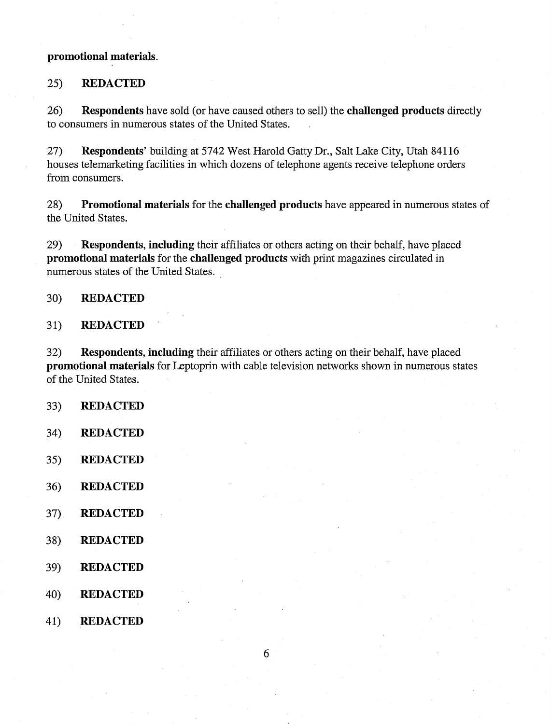## promotional materials.

# 25) **REDACTED**

26) Respondents have sold (or have caused others to sell) the challenged products directly to consumers in numerous states of the United States.

27) Respondents' building at 5742 West Harold Gatty Dr., Salt Lake City, Utah 84116 houses telemarketing facilities in which dozens of telephone agents receive telephone orders from consumers.

28) Promotional materials for the challenged products have appeared in numerous states of the United States.

29) Respondents, including their affiliates or others acting on their behalf, have placed promotional materials for the challenged products with print magazines circulated in numerous states of the United States.

## 30) **REDACTED**

## 31) **REDACTED**

32) Respondents, including their affiliates or others acting on their behalf, have placed promotional materials for Leptoprin with cable television networks shown in numerous states of the United States.

- 33) **REDACTED**
- 34) **REDACTED**
- $35)$ **REDACTED**
- $36)$ **REDACTED**
- 37) **REDACTED**
- 38) **REDACTED**
- 39) **REDACTED**
- 40) **REDACTED**
- **REDACTED** 41)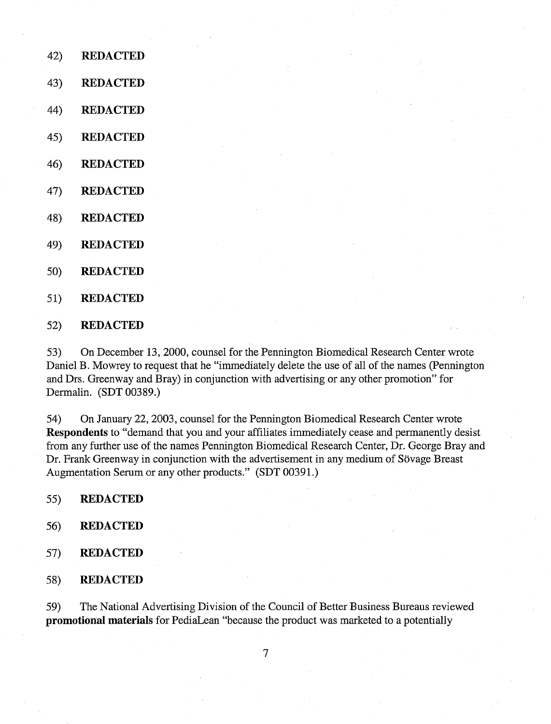- 42) **REDACTED**
- 43) **REDACTED**
- 44) **REDACTED**
- $45)$ **REDACTED**
- **REDACTED**  46)
- 47) **REDACTED**
- 48) **REDACTED**
- 49) **REDACTED**
- $50<sub>o</sub>$ **REDACTED**
- $51)$ **REDACTED**
- $52)$ **REDACTED**

On December 13,2000, counsel for the Pennington Biomedical Research Center wrote 53) Daniel B. Mowrey to request that he "immediately delete the use of all of the names (Pennington and Drs. Greenway and Bray) in conjunction with advertising or any other promotion" for Dermalin. (SDT 00389.)

54) On January 22,2003, counsel for the Pennington Biomedical Research Center wrote **Respondents** to "demand that you and your affiliates immediately cease and permanently desist from any further use of the names Pennington Biomedical Research Center, Dr. George Bray and Dr. Frank Greenway in conjunction with the advertisement in any medium of Sövage Breast Augmentation Serum or any other products." (SDT 00391.)

- 55) **REDACTED**
- 56) **REDACTED**
- 57) **REDACTED**
- 58) **REDACTED**

59) The National Advertising Division of the Council of Better Business Bureaus reviewed **promotional materials** for PediaLean "because the product was marketed to a potentially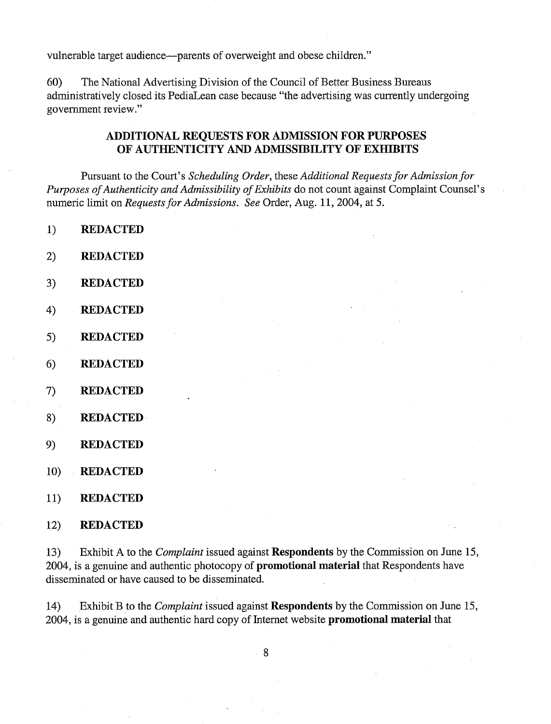vulnerable target audience—parents of overweight and obese children."

60) The National Advertising Division of the Council of Better Business Bureaus administratively closed its PediaLean case because "the advertising was currently undergoing government review."

# **ADDITIONAL REQUESTS FOR ADMISSION FOR PURPOSES OF AUTHENTICITY AND ADMISSIBILITY OF EXHIBITS**

Pursuant to the Court's *Scheduling Order,* these *Additional Requests for Admission for Purposes of Authenticity and Admissibility of Exhibits* do not count against Complaint Counsel's numeric limit on *Requests for Admissions. See* Order, Aug. 11, 2004, at 5.

- $1)$ **REDACTED**
- $2)$ **REDACTED**
- 3) **REDACTED**
- $4)$ **REDACTED**
- $5)$ **REDACTED**
- $6)$ **REDACTED**
- $7)$ **REDACTED**
- **REDACTED**  8)
- 9) **REDACTED**
- 10) **REDACTED**
- 11) **REDACTED**
- $12)$ **REDACTED**

Exhibit A to the *Complaint* issued against **Respondents** by the Commission on June 15,  $13)$ 2004, is a genuine and authentic photocopy of **promotional material** that Respondents have disseminated or have caused to be disseminated.

14) Exhibit B to the *Complaint* issued against **Respondents** by the Commission on June 15, 2004, is a genuine and authentic hard copy of Internet website **promotional material** that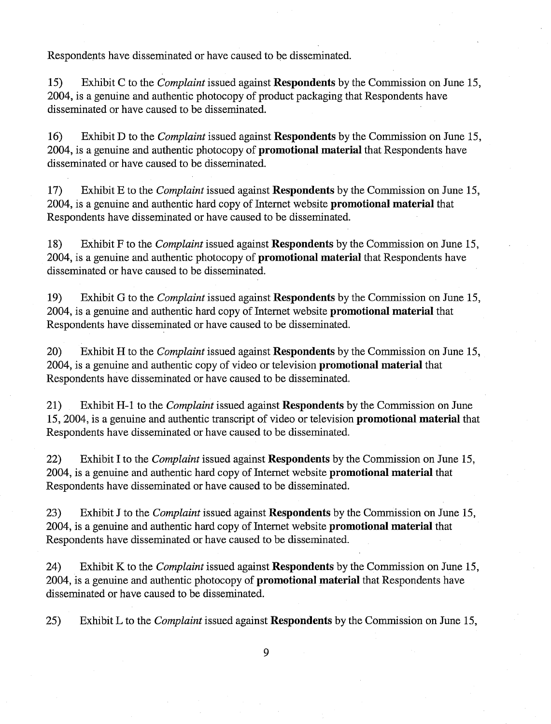Respondents have disseminated or have caused to be disseminated.

15) Exhibit C to the *Complaint* issued against **Respondents** by the Commission on June 15, 2004, is a genuine and authentic photocopy of product packaging that Respondents have disseminated or have caused to be disseminated.

16) Exhibit D to the *Complaint* issued against **Respondents** by the Commission on June 15, 2004, is a genuine and authentic photocopy of **promotional material** that Respondents have disseminated or have caused to be disseminated.

17) Exhibit E to the *Complaint* issued against **Respondents** by the Commission on June 15, 2004, is a genuine and authentic hard copy of Internet website **promotional material** that Respondents have disseminated or have caused to be disseminated.

18) Exhibit F to the *Complaint* issued against **Respondents** by the Commission on June 15, 2004, is a genuine and authentic photocopy of **promotional material** that Respondents have disseminated or have caused to be disseminated.

19) Exhibit G to the *Complaint* issued against **Respondents** by the Commission on June 15, 2004, is a genuine and authentic hard copy of Internet website **promotional material** that Respondents have disseminated or have caused to be disseminated.

20) Exhibit H to the *Complaint* issued against **Respondents** by the Commission on June 15, 2004, is a genuine and authentic copy of video or television **promotional material** that Respondents have disseminated or have caused to be disseminated.

21) Exhibit H-1 to the *Complaint* issued against **Respondents** by the Commission on June 15,2004, is a genuine and authentic transcript of video or television **promotional material** that Respondents have disseminated or have caused to be disseminated.

22) Exhibit I to the *Complaint* issued against **Respondents** by the Commission on June 15, 2004, is a genuine and authentic hard copy of Internet website **promotional material** that Respondents have disseminated or have caused to be disseminated.

23) Exhibit J to the *Complaint* issued against **Respondents** by the Commission on June 15, 2004, is a genuine and authentic hard copy of Internet website **promotional material** that Respondents have disseminated or have caused to be disseminated.

24) Exhibit K to the *Complaint* issued against **Respondents** by the Commission on June 15, 2004, is a genuine and authentic photocopy of **promotional material** that Respondents have disseminated or have caused to be disseminated.

25) Exhibit L to the *Complaint* issued against **Respondents** by the Commission on June 15,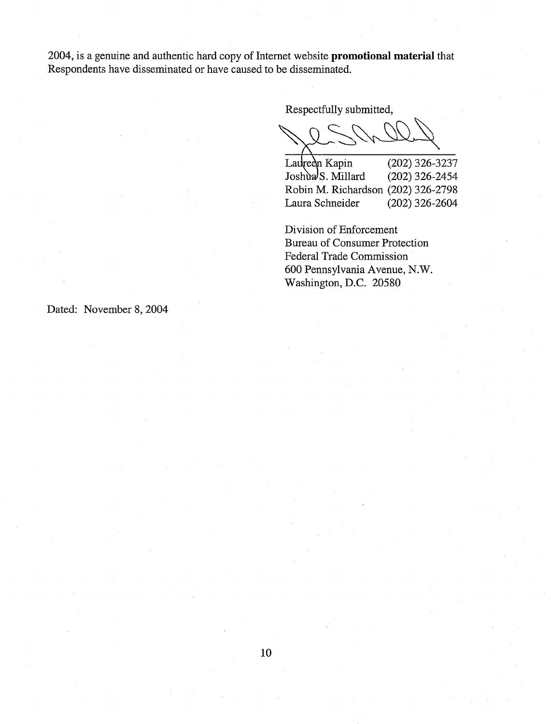2004, is a genuine and authentic hard copy of Internet website **promotional material** that Respondents have disseminated or have caused to be disseminated.

Respectfully submitted,

Lauredn Kapin  $(202)$  326-3237 Joshua<sup>S</sup>. Millard  $(202)$  326-2454 Robin M. Richardson (202) 326-2798 Laura Schneider (202) 326-2604

Division of Enforcement Bureau of Consumer Protection Federal Trade Commission 600 Pennsylvania Avenue, N.W. Washington, D.C. 20580

Dated: November 8, 2004